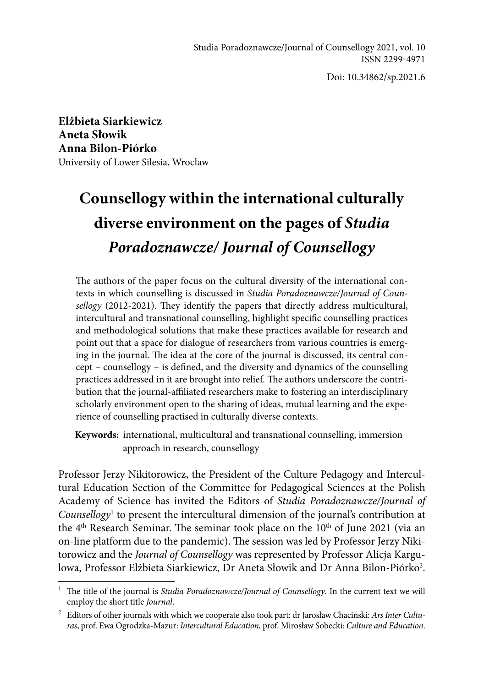Doi: 10.34862/sp.2021.6

**Elżbieta Siarkiewicz Aneta Słowik Anna Bilon-Piórko** University of Lower Silesia, Wrocław

# **Counsellogy within the international culturally diverse environment on the pages of** *Studia Poradoznawcze/ Journal of Counsellogy*

The authors of the paper focus on the cultural diversity of the international contexts in which counselling is discussed in *Studia Poradoznawcze/Journal of Counsellogy* (2012-2021). They identify the papers that directly address multicultural, intercultural and transnational counselling, highlight specific counselling practices and methodological solutions that make these practices available for research and point out that a space for dialogue of researchers from various countries is emerging in the journal. The idea at the core of the journal is discussed, its central concept – counsellogy – is defined, and the diversity and dynamics of the counselling practices addressed in it are brought into relief. The authors underscore the contribution that the journal-affiliated researchers make to fostering an interdisciplinary scholarly environment open to the sharing of ideas, mutual learning and the experience of counselling practised in culturally diverse contexts.

**Keywords:** international, multicultural and transnational counselling, immersion approach in research, counsellogy

Professor Jerzy Nikitorowicz, the President of the Culture Pedagogy and Intercultural Education Section of the Committee for Pedagogical Sciences at the Polish Academy of Science has invited the Editors of *Studia Poradoznawcze/Journal of Counsellogy*<sup>1</sup> to present the intercultural dimension of the journal's contribution at the  $4<sup>th</sup>$  Research Seminar. The seminar took place on the  $10<sup>th</sup>$  of June 2021 (via an on-line platform due to the pandemic). The session was led by Professor Jerzy Nikitorowicz and the *Journal of Counsellogy* was represented by Professor Alicja Kargulowa, Professor Elżbieta Siarkiewicz, Dr Aneta Słowik and Dr Anna Bilon-Piórko<sup>2</sup>.

<sup>&</sup>lt;sup>1</sup> The title of the journal is *Studia Poradoznawcze/Journal of Counsellogy*. In the current text we will employ the short title *Journal*.

<sup>2</sup> Editors of other journals with which we cooperate also took part: dr Jarosław Chaciński: *Ars Inter Culturas*, prof. Ewa Ogrodzka-Mazur: *Intercultural Education*, prof. Mirosław Sobecki: *Culture and Education*.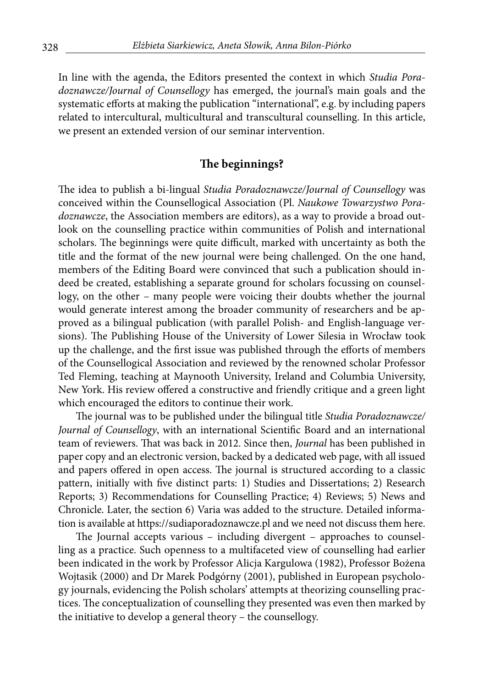In line with the agenda, the Editors presented the context in which *Studia Poradoznawcze/Journal of Counsellogy* has emerged, the journal's main goals and the systematic efforts at making the publication "international", e.g. by including papers related to intercultural, multicultural and transcultural counselling. In this article, we present an extended version of our seminar intervention.

## **The beginnings?**

The idea to publish a bi-lingual *Studia Poradoznawcze/Journal of Counsellogy* was conceived within the Counsellogical Association (Pl. *Naukowe Towarzystwo Poradoznawcze*, the Association members are editors), as a way to provide a broad outlook on the counselling practice within communities of Polish and international scholars. The beginnings were quite difficult, marked with uncertainty as both the title and the format of the new journal were being challenged. On the one hand, members of the Editing Board were convinced that such a publication should indeed be created, establishing a separate ground for scholars focussing on counsellogy, on the other – many people were voicing their doubts whether the journal would generate interest among the broader community of researchers and be approved as a bilingual publication (with parallel Polish- and English-language versions). The Publishing House of the University of Lower Silesia in Wrocław took up the challenge, and the first issue was published through the efforts of members of the Counsellogical Association and reviewed by the renowned scholar Professor Ted Fleming, teaching at Maynooth University, Ireland and Columbia University, New York. His review offered a constructive and friendly critique and a green light which encouraged the editors to continue their work.

The journal was to be published under the bilingual title *Studia Poradoznawcze/ Journal of Counsellogy*, with an international Scientific Board and an international team of reviewers. That was back in 2012. Since then, *Journal* has been published in paper copy and an electronic version, backed by a dedicated web page, with all issued and papers offered in open access. The journal is structured according to a classic pattern, initially with five distinct parts: 1) Studies and Dissertations; 2) Research Reports; 3) Recommendations for Counselling Practice; 4) Reviews; 5) News and Chronicle. Later, the section 6) Varia was added to the structure. Detailed information is available at https://sudiaporadoznawcze.pl and we need not discuss them here.

The Journal accepts various – including divergent – approaches to counselling as a practice. Such openness to a multifaceted view of counselling had earlier been indicated in the work by Professor Alicja Kargulowa (1982), Professor Bożena Wojtasik (2000) and Dr Marek Podgórny (2001), published in European psychology journals, evidencing the Polish scholars' attempts at theorizing counselling practices. The conceptualization of counselling they presented was even then marked by the initiative to develop a general theory – the counsellogy.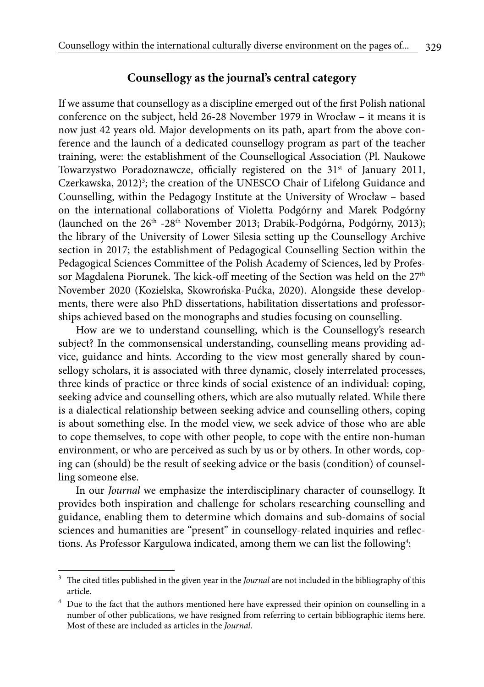#### **Counsellogy as the journal's central category**

If we assume that counsellogy as a discipline emerged out of the first Polish national conference on the subject, held 26-28 November 1979 in Wrocław – it means it is now just 42 years old. Major developments on its path, apart from the above conference and the launch of a dedicated counsellogy program as part of the teacher training, were: the establishment of the Counsellogical Association (Pl. Naukowe Towarzystwo Poradoznawcze, officially registered on the 31<sup>st</sup> of January 2011, Czerkawska, 2012)<sup>3</sup>; the creation of the UNESCO Chair of Lifelong Guidance and Counselling, within the Pedagogy Institute at the University of Wrocław – based on the international collaborations of Violetta Podgórny and Marek Podgórny (launched on the 26<sup>th</sup> -28<sup>th</sup> November 2013; Drabik-Podgórna, Podgórny, 2013); the library of the University of Lower Silesia setting up the Counsellogy Archive section in 2017; the establishment of Pedagogical Counselling Section within the Pedagogical Sciences Committee of the Polish Academy of Sciences, led by Professor Magdalena Piorunek. The kick-off meeting of the Section was held on the 27<sup>th</sup> November 2020 (Kozielska, Skowrońska-Pućka, 2020). Alongside these developments, there were also PhD dissertations, habilitation dissertations and professorships achieved based on the monographs and studies focusing on counselling.

How are we to understand counselling, which is the Counsellogy's research subject? In the commonsensical understanding, counselling means providing advice, guidance and hints. According to the view most generally shared by counsellogy scholars, it is associated with three dynamic, closely interrelated processes, three kinds of practice or three kinds of social existence of an individual: coping, seeking advice and counselling others, which are also mutually related. While there is a dialectical relationship between seeking advice and counselling others, coping is about something else. In the model view, we seek advice of those who are able to cope themselves, to cope with other people, to cope with the entire non-human environment, or who are perceived as such by us or by others. In other words, coping can (should) be the result of seeking advice or the basis (condition) of counselling someone else.

In our *Journal* we emphasize the interdisciplinary character of counsellogy. It provides both inspiration and challenge for scholars researching counselling and guidance, enabling them to determine which domains and sub-domains of social sciences and humanities are "present" in counsellogy-related inquiries and reflections. As Professor Kargulowa indicated, among them we can list the following<sup>4</sup>:

<sup>3</sup> The cited titles published in the given year in the *Journal* are not included in the bibliography of this article.

<sup>&</sup>lt;sup>4</sup> Due to the fact that the authors mentioned here have expressed their opinion on counselling in a number of other publications, we have resigned from referring to certain bibliographic items here. Most of these are included as articles in the *Journal*.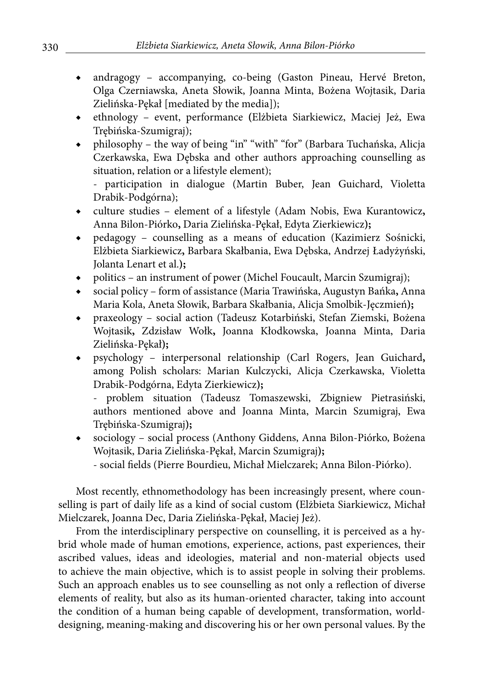- andragogy accompanying, co-being (Gaston Pineau, Hervé Breton, Olga Czerniawska, Aneta Słowik, Joanna Minta, Bożena Wojtasik, Daria Zielińska-Pękał [mediated by the media]);
- ◆ ethnology event, performance **(**Elżbieta Siarkiewicz, Maciej Jeż, Ewa Trębińska-Szumigraj);
- philosophy the way of being "in" "with" "for" (Barbara Tuchańska, Alicja Czerkawska, Ewa Dębska and other authors approaching counselling as situation, relation or a lifestyle element);

- participation in dialogue (Martin Buber, Jean Guichard, Violetta Drabik-Podgórna);

- ◆ culture studies element of a lifestyle (Adam Nobis, Ewa Kurantowicz**,**  Anna Bilon-Piórko**,** Daria Zielińska-Pękał, Edyta Zierkiewicz**);**
- ◆ pedagogy counselling as a means of education (Kazimierz Sośnicki, Elżbieta Siarkiewicz**,** Barbara Skałbania, Ewa Dębska, Andrzej Ładyżyński, Jolanta Lenart et al.**);**
- politics an instrument of power (Michel Foucault, Marcin Szumigraj);
- ◆ social policy form of assistance (Maria Trawińska, Augustyn Bańka**,** Anna Maria Kola, Aneta Słowik, Barbara Skałbania, Alicja Smolbik-Jęczmień**);**
- ◆ praxeology social action (Tadeusz Kotarbiński, Stefan Ziemski, Bożena Wojtasik**,** Zdzisław Wołk**,** Joanna Kłodkowska, Joanna Minta, Daria Zielińska-Pękał**);**
- ◆ psychology interpersonal relationship (Carl Rogers, Jean Guichard**,**  among Polish scholars: Marian Kulczycki, Alicja Czerkawska, Violetta Drabik-Podgórna, Edyta Zierkiewicz**);**

- problem situation (Tadeusz Tomaszewski, Zbigniew Pietrasiński, authors mentioned above and Joanna Minta, Marcin Szumigraj, Ewa Trębińska-Szumigraj**);**

- sociology social process (Anthony Giddens, Anna Bilon-Piórko, Bożena Wojtasik, Daria Zielińska-Pękał, Marcin Szumigraj**);**
	- social fields (Pierre Bourdieu, Michał Mielczarek; Anna Bilon-Piórko).

Most recently, ethnomethodology has been increasingly present, where counselling is part of daily life as a kind of social custom **(**Elżbieta Siarkiewicz, Michał Mielczarek, Joanna Dec, Daria Zielińska-Pękał, Maciej Jeż).

From the interdisciplinary perspective on counselling, it is perceived as a hybrid whole made of human emotions, experience, actions, past experiences, their ascribed values, ideas and ideologies, material and non-material objects used to achieve the main objective, which is to assist people in solving their problems. Such an approach enables us to see counselling as not only a reflection of diverse elements of reality, but also as its human-oriented character, taking into account the condition of a human being capable of development, transformation, worlddesigning, meaning-making and discovering his or her own personal values. By the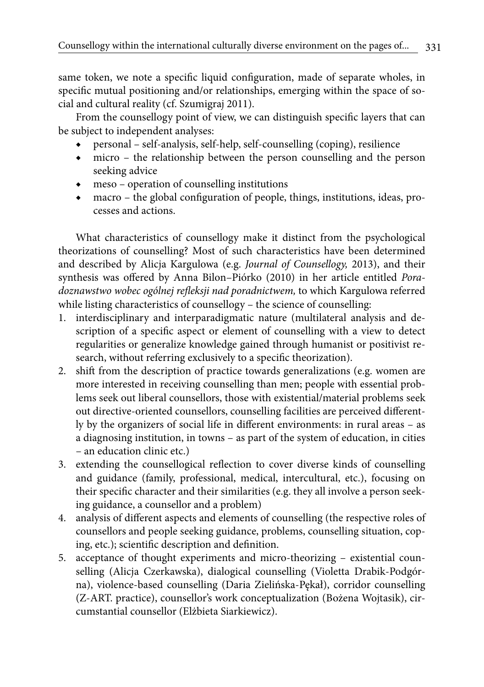331

same token, we note a specific liquid configuration, made of separate wholes, in specific mutual positioning and/or relationships, emerging within the space of social and cultural reality (cf. Szumigraj 2011).

From the counsellogy point of view, we can distinguish specific layers that can be subject to independent analyses:

- ◆ personal self-analysis, self-help, self-counselling (coping), resilience
- ◆ micro the relationship between the person counselling and the person seeking advice
- ◆ meso operation of counselling institutions
- ◆ macro the global configuration of people, things, institutions, ideas, processes and actions.

What characteristics of counsellogy make it distinct from the psychological theorizations of counselling? Most of such characteristics have been determined and described by Alicja Kargulowa (e.g. *Journal of Counsellogy,* 2013), and their synthesis was offered by Anna Bilon–Piórko (2010) in her article entitled *Poradoznawstwo wobec ogólnej refleksji nad poradnictwem,* to which Kargulowa referred while listing characteristics of counsellogy – the science of counselling:

- 1. interdisciplinary and interparadigmatic nature (multilateral analysis and description of a specific aspect or element of counselling with a view to detect regularities or generalize knowledge gained through humanist or positivist research, without referring exclusively to a specific theorization).
- 2. shift from the description of practice towards generalizations (e.g. women are more interested in receiving counselling than men; people with essential problems seek out liberal counsellors, those with existential/material problems seek out directive-oriented counsellors, counselling facilities are perceived differently by the organizers of social life in different environments: in rural areas – as a diagnosing institution, in towns – as part of the system of education, in cities – an education clinic etc.)
- 3. extending the counsellogical reflection to cover diverse kinds of counselling and guidance (family, professional, medical, intercultural, etc.), focusing on their specific character and their similarities (e.g. they all involve a person seeking guidance, a counsellor and a problem)
- 4. analysis of different aspects and elements of counselling (the respective roles of counsellors and people seeking guidance, problems, counselling situation, coping, etc.); scientific description and definition.
- 5. acceptance of thought experiments and micro-theorizing existential counselling (Alicja Czerkawska), dialogical counselling (Violetta Drabik-Podgórna), violence-based counselling (Daria Zielińska-Pękał), corridor counselling (Z-ART. practice), counsellor's work conceptualization (Bożena Wojtasik), circumstantial counsellor (Elżbieta Siarkiewicz).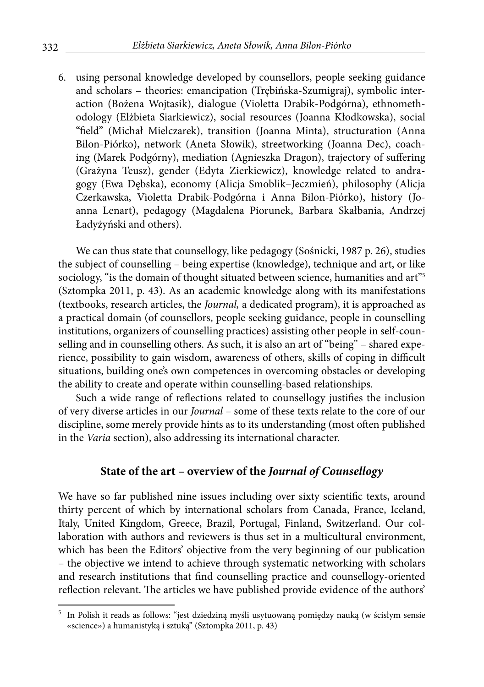6. using personal knowledge developed by counsellors, people seeking guidance and scholars – theories: emancipation (Trębińska-Szumigraj), symbolic interaction (Bożena Wojtasik), dialogue (Violetta Drabik-Podgórna), ethnomethodology (Elżbieta Siarkiewicz), social resources (Joanna Kłodkowska), social "field" (Michał Mielczarek), transition (Joanna Minta), structuration (Anna Bilon-Piórko), network (Aneta Słowik), streetworking (Joanna Dec), coaching (Marek Podgórny), mediation (Agnieszka Dragon), trajectory of suffering (Grażyna Teusz), gender (Edyta Zierkiewicz), knowledge related to andragogy (Ewa Dębska), economy (Alicja Smoblik–Jeczmień), philosophy (Alicja Czerkawska, Violetta Drabik-Podgórna i Anna Bilon-Piórko), history (Joanna Lenart), pedagogy (Magdalena Piorunek, Barbara Skałbania, Andrzej Ładyżyński and others).

We can thus state that counsellogy, like pedagogy (Sośnicki, 1987 p. 26), studies the subject of counselling – being expertise (knowledge), technique and art, or like sociology, "is the domain of thought situated between science, humanities and art"<sup>5</sup> (Sztompka 2011, p. 43). As an academic knowledge along with its manifestations (textbooks, research articles, the *Journal,* a dedicated program), it is approached as a practical domain (of counsellors, people seeking guidance, people in counselling institutions, organizers of counselling practices) assisting other people in self-counselling and in counselling others. As such, it is also an art of "being" – shared experience, possibility to gain wisdom, awareness of others, skills of coping in difficult situations, building one's own competences in overcoming obstacles or developing the ability to create and operate within counselling-based relationships.

Such a wide range of reflections related to counsellogy justifies the inclusion of very diverse articles in our *Journal –* some of these texts relate to the core of our discipline, some merely provide hints as to its understanding (most often published in the *Varia* section), also addressing its international character.

#### **State of the art – overview of the** *Journal of Counsellogy*

We have so far published nine issues including over sixty scientific texts, around thirty percent of which by international scholars from Canada, France, Iceland, Italy, United Kingdom, Greece, Brazil, Portugal, Finland, Switzerland. Our collaboration with authors and reviewers is thus set in a multicultural environment, which has been the Editors' objective from the very beginning of our publication – the objective we intend to achieve through systematic networking with scholars and research institutions that find counselling practice and counsellogy-oriented reflection relevant. The articles we have published provide evidence of the authors'

<sup>5</sup> In Polish it reads as follows: "jest dziedziną myśli usytuowaną pomiędzy nauką (w ścisłym sensie «science») a humanistyką i sztuką" (Sztompka 2011, p. 43)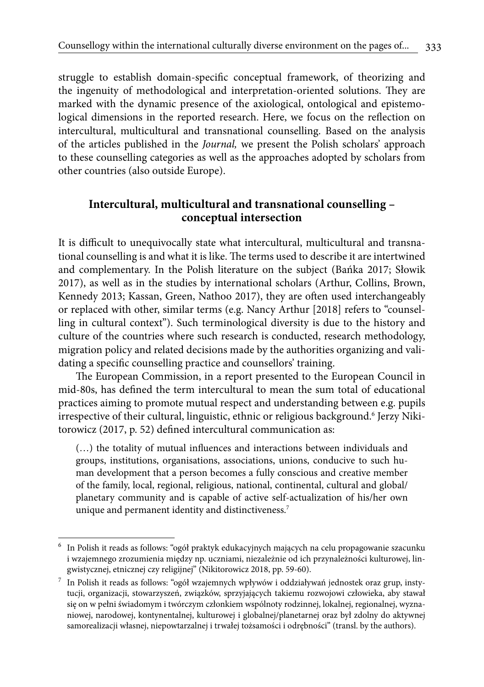333

struggle to establish domain-specific conceptual framework, of theorizing and the ingenuity of methodological and interpretation-oriented solutions. They are marked with the dynamic presence of the axiological, ontological and epistemological dimensions in the reported research. Here, we focus on the reflection on intercultural, multicultural and transnational counselling. Based on the analysis of the articles published in the *Journal,* we present the Polish scholars' approach to these counselling categories as well as the approaches adopted by scholars from other countries (also outside Europe).

## **Intercultural, multicultural and transnational counselling – conceptual intersection**

It is difficult to unequivocally state what intercultural, multicultural and transnational counselling is and what it is like. The terms used to describe it are intertwined and complementary. In the Polish literature on the subject (Bańka 2017; Słowik 2017), as well as in the studies by international scholars (Arthur, Collins, Brown, Kennedy 2013; Kassan, Green, Nathoo 2017), they are often used interchangeably or replaced with other, similar terms (e.g. Nancy Arthur [2018] refers to "counselling in cultural context"). Such terminological diversity is due to the history and culture of the countries where such research is conducted, research methodology, migration policy and related decisions made by the authorities organizing and validating a specific counselling practice and counsellors' training.

The European Commission, in a report presented to the European Council in mid-80s, has defined the term intercultural to mean the sum total of educational practices aiming to promote mutual respect and understanding between e.g. pupils irrespective of their cultural, linguistic, ethnic or religious background.<sup>6</sup> Jerzy Nikitorowicz (2017, p. 52) defined intercultural communication as:

(…) the totality of mutual influences and interactions between individuals and groups, institutions, organisations, associations, unions, conducive to such human development that a person becomes a fully conscious and creative member of the family, local, regional, religious, national, continental, cultural and global/ planetary community and is capable of active self-actualization of his/her own unique and permanent identity and distinctiveness.<sup>7</sup>

<sup>6</sup> In Polish it reads as follows: "ogół praktyk edukacyjnych mających na celu propagowanie szacunku i wzajemnego zrozumienia między np. uczniami, niezależnie od ich przynależności kulturowej, lingwistycznej, etnicznej czy religijnej" (Nikitorowicz 2018, pp. 59-60).

<sup>7</sup> In Polish it reads as follows: "ogół wzajemnych wpływów i oddziaływań jednostek oraz grup, instytucji, organizacji, stowarzyszeń, związków, sprzyjających takiemu rozwojowi człowieka, aby stawał się on w pełni świadomym i twórczym członkiem wspólnoty rodzinnej, lokalnej, regionalnej, wyznaniowej, narodowej, kontynentalnej, kulturowej i globalnej/planetarnej oraz był zdolny do aktywnej samorealizacji własnej, niepowtarzalnej i trwałej tożsamości i odrębności" (transl. by the authors).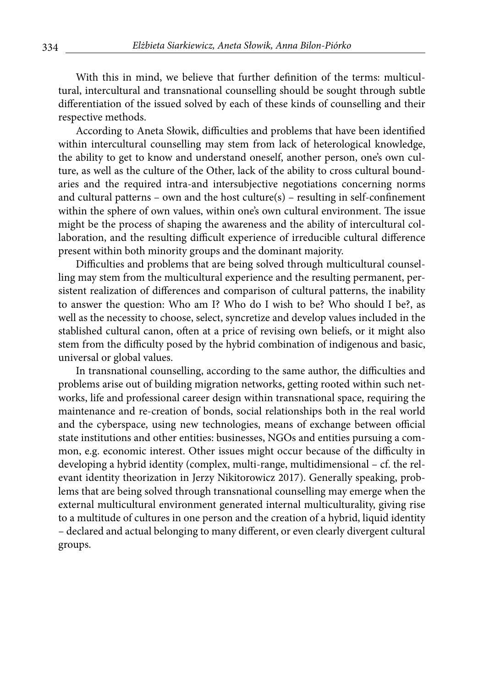With this in mind, we believe that further definition of the terms: multicultural, intercultural and transnational counselling should be sought through subtle differentiation of the issued solved by each of these kinds of counselling and their respective methods.

According to Aneta Słowik, difficulties and problems that have been identified within intercultural counselling may stem from lack of heterological knowledge, the ability to get to know and understand oneself, another person, one's own culture, as well as the culture of the Other, lack of the ability to cross cultural boundaries and the required intra-and intersubjective negotiations concerning norms and cultural patterns – own and the host culture $(s)$  – resulting in self-confinement within the sphere of own values, within one's own cultural environment. The issue might be the process of shaping the awareness and the ability of intercultural collaboration, and the resulting difficult experience of irreducible cultural difference present within both minority groups and the dominant majority.

Difficulties and problems that are being solved through multicultural counselling may stem from the multicultural experience and the resulting permanent, persistent realization of differences and comparison of cultural patterns, the inability to answer the question: Who am I? Who do I wish to be? Who should I be?, as well as the necessity to choose, select, syncretize and develop values included in the stablished cultural canon, often at a price of revising own beliefs, or it might also stem from the difficulty posed by the hybrid combination of indigenous and basic, universal or global values.

In transnational counselling, according to the same author, the difficulties and problems arise out of building migration networks, getting rooted within such networks, life and professional career design within transnational space, requiring the maintenance and re-creation of bonds, social relationships both in the real world and the cyberspace, using new technologies, means of exchange between official state institutions and other entities: businesses, NGOs and entities pursuing a common, e.g. economic interest. Other issues might occur because of the difficulty in developing a hybrid identity (complex, multi-range, multidimensional – cf. the relevant identity theorization in Jerzy Nikitorowicz 2017). Generally speaking, problems that are being solved through transnational counselling may emerge when the external multicultural environment generated internal multiculturality, giving rise to a multitude of cultures in one person and the creation of a hybrid, liquid identity – declared and actual belonging to many different, or even clearly divergent cultural groups.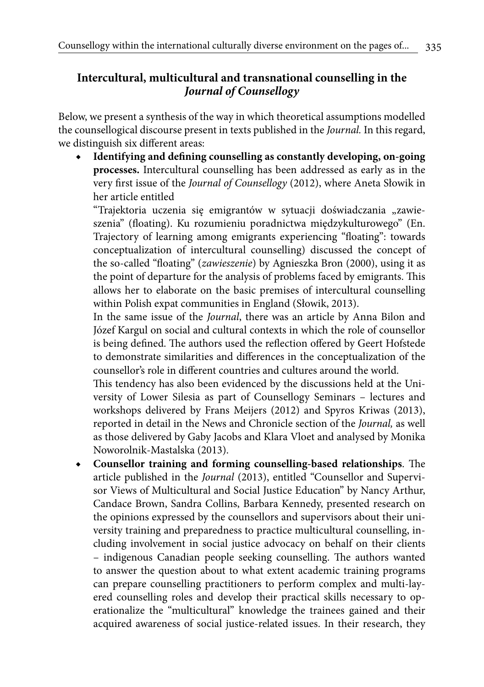335

# **Intercultural, multicultural and transnational counselling in the**  *Journal of Counsellogy*

Below, we present a synthesis of the way in which theoretical assumptions modelled the counsellogical discourse present in texts published in the *Journal.* In this regard, we distinguish six different areas:

Identifying and defining counselling as constantly developing, on-going **processes.** Intercultural counselling has been addressed as early as in the very first issue of the *Journal of Counsellogy* (2012), where Aneta Słowik in her article entitled

"Trajektoria uczenia się emigrantów w sytuacji doświadczania "zawieszenia" (floating). Ku rozumieniu poradnictwa międzykulturowego" (En. Trajectory of learning among emigrants experiencing "floating": towards conceptualization of intercultural counselling) discussed the concept of the so-called "floating" (*zawieszenie*) by Agnieszka Bron (2000), using it as the point of departure for the analysis of problems faced by emigrants. This allows her to elaborate on the basic premises of intercultural counselling within Polish expat communities in England (Słowik, 2013).

In the same issue of the *Journal*, there was an article by Anna Bilon and Józef Kargul on social and cultural contexts in which the role of counsellor is being defined. The authors used the reflection offered by Geert Hofstede to demonstrate similarities and differences in the conceptualization of the counsellor's role in different countries and cultures around the world.

This tendency has also been evidenced by the discussions held at the University of Lower Silesia as part of Counsellogy Seminars – lectures and workshops delivered by Frans Meijers (2012) and Spyros Kriwas (2013), reported in detail in the News and Chronicle section of the *Journal,* as well as those delivered by Gaby Jacobs and Klara Vloet and analysed by Monika Noworolnik-Mastalska (2013).

◆ **Counsellor training and forming counselling-based relationships**. The article published in the *Journal* (2013), entitled "Counsellor and Supervisor Views of Multicultural and Social Justice Education" by Nancy Arthur, Candace Brown, Sandra Collins, Barbara Kennedy, presented research on the opinions expressed by the counsellors and supervisors about their university training and preparedness to practice multicultural counselling, including involvement in social justice advocacy on behalf on their clients – indigenous Canadian people seeking counselling. The authors wanted to answer the question about to what extent academic training programs can prepare counselling practitioners to perform complex and multi-layered counselling roles and develop their practical skills necessary to operationalize the "multicultural" knowledge the trainees gained and their acquired awareness of social justice-related issues. In their research, they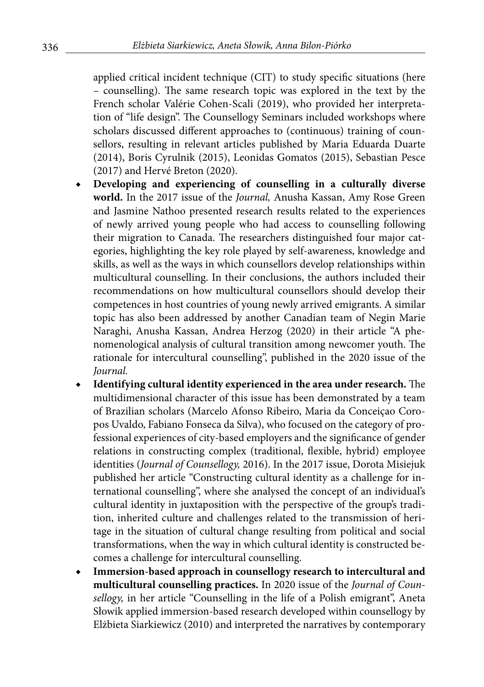applied critical incident technique (CIT) to study specific situations (here – counselling). The same research topic was explored in the text by the French scholar Valérie Cohen-Scali (2019), who provided her interpretation of "life design". The Counsellogy Seminars included workshops where scholars discussed different approaches to (continuous) training of counsellors, resulting in relevant articles published by Maria Eduarda Duarte (2014), Boris Cyrulnik (2015), Leonidas Gomatos (2015), Sebastian Pesce (2017) and Hervé Breton (2020).

- ◆ **Developing and experiencing of counselling in a culturally diverse world.** In the 2017 issue of the *Journal,* Anusha Kassan, Amy Rose Green and Jasmine Nathoo presented research results related to the experiences of newly arrived young people who had access to counselling following their migration to Canada. The researchers distinguished four major categories, highlighting the key role played by self-awareness, knowledge and skills, as well as the ways in which counsellors develop relationships within multicultural counselling. In their conclusions, the authors included their recommendations on how multicultural counsellors should develop their competences in host countries of young newly arrived emigrants. A similar topic has also been addressed by another Canadian team of Negin Marie Naraghi, Anusha Kassan, Andrea Herzog (2020) in their article "A phenomenological analysis of cultural transition among newcomer youth. The rationale for intercultural counselling", published in the 2020 issue of the *Journal.*
- **Identifying cultural identity experienced in the area under research.** The multidimensional character of this issue has been demonstrated by a team of Brazilian scholars (Marcelo Afonso Ribeiro, Maria da Conceiçao Coropos Uvaldo, Fabiano Fonseca da Silva), who focused on the category of professional experiences of city-based employers and the significance of gender relations in constructing complex (traditional, flexible, hybrid) employee identities (*Journal of Counsellogy,* 2016). In the 2017 issue, Dorota Misiejuk published her article "Constructing cultural identity as a challenge for international counselling", where she analysed the concept of an individual's cultural identity in juxtaposition with the perspective of the group's tradition, inherited culture and challenges related to the transmission of heritage in the situation of cultural change resulting from political and social transformations, when the way in which cultural identity is constructed becomes a challenge for intercultural counselling.
- Immersion-based approach in counsellogy research to intercultural and **multicultural counselling practices.** In 2020 issue of the *Journal of Counsellogy,* in her article "Counselling in the life of a Polish emigrant", Aneta Słowik applied immersion-based research developed within counsellogy by Elżbieta Siarkiewicz (2010) and interpreted the narratives by contemporary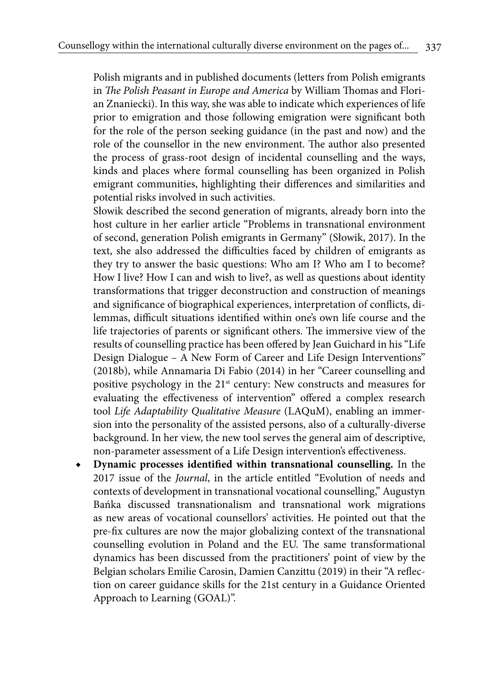Polish migrants and in published documents (letters from Polish emigrants in *The Polish Peasant in Europe and America* by William Thomas and Florian Znaniecki). In this way, she was able to indicate which experiences of life prior to emigration and those following emigration were significant both for the role of the person seeking guidance (in the past and now) and the role of the counsellor in the new environment. The author also presented the process of grass-root design of incidental counselling and the ways, kinds and places where formal counselling has been organized in Polish emigrant communities, highlighting their differences and similarities and potential risks involved in such activities.

Słowik described the second generation of migrants, already born into the host culture in her earlier article "Problems in transnational environment of second, generation Polish emigrants in Germany" (Słowik, 2017). In the text, she also addressed the difficulties faced by children of emigrants as they try to answer the basic questions: Who am I? Who am I to become? How I live? How I can and wish to live?, as well as questions about identity transformations that trigger deconstruction and construction of meanings and significance of biographical experiences, interpretation of conflicts, dilemmas, difficult situations identified within one's own life course and the life trajectories of parents or significant others. The immersive view of the results of counselling practice has been offered by Jean Guichard in his "Life Design Dialogue – A New Form of Career and Life Design Interventions" (2018b), while Annamaria Di Fabio (2014) in her "Career counselling and positive psychology in the 21<sup>st</sup> century: New constructs and measures for evaluating the effectiveness of intervention" offered a complex research tool *Life Adaptability Qualitative Measure* (LAQuM), enabling an immersion into the personality of the assisted persons, also of a culturally-diverse background. In her view, the new tool serves the general aim of descriptive, non-parameter assessment of a Life Design intervention's effectiveness.

**Dynamic processes identified within transnational counselling.** In the 2017 issue of the *Journal*, in the article entitled "Evolution of needs and contexts of development in transnational vocational counselling," Augustyn Bańka discussed transnationalism and transnational work migrations as new areas of vocational counsellors' activities. He pointed out that the pre-fix cultures are now the major globalizing context of the transnational counselling evolution in Poland and the EU. The same transformational dynamics has been discussed from the practitioners' point of view by the Belgian scholars Emilie Carosin, Damien Canzittu (2019) in their "A reflection on career guidance skills for the 21st century in a Guidance Oriented Approach to Learning (GOAL)".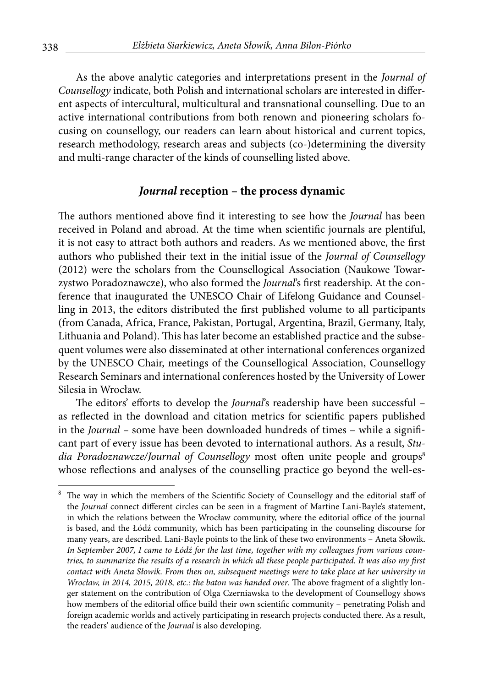As the above analytic categories and interpretations present in the *Journal of Counsellogy* indicate, both Polish and international scholars are interested in different aspects of intercultural, multicultural and transnational counselling. Due to an active international contributions from both renown and pioneering scholars focusing on counsellogy, our readers can learn about historical and current topics, research methodology, research areas and subjects (co-)determining the diversity and multi-range character of the kinds of counselling listed above.

#### *Journal* **reception – the process dynamic**

The authors mentioned above find it interesting to see how the *Journal* has been received in Poland and abroad. At the time when scientific journals are plentiful, it is not easy to attract both authors and readers. As we mentioned above, the first authors who published their text in the initial issue of the *Journal of Counsellogy*  (2012) were the scholars from the Counsellogical Association (Naukowe Towarzystwo Poradoznawcze), who also formed the *Journal*'s first readership. At the conference that inaugurated the UNESCO Chair of Lifelong Guidance and Counselling in 2013, the editors distributed the first published volume to all participants (from Canada, Africa, France, Pakistan, Portugal, Argentina, Brazil, Germany, Italy, Lithuania and Poland). This has later become an established practice and the subsequent volumes were also disseminated at other international conferences organized by the UNESCO Chair, meetings of the Counsellogical Association, Counsellogy Research Seminars and international conferences hosted by the University of Lower Silesia in Wrocław.

The editors' efforts to develop the *Journal*'s readership have been successful – as reflected in the download and citation metrics for scientific papers published in the *Journal –* some have been downloaded hundreds of times – while a significant part of every issue has been devoted to international authors. As a result, *Studia Poradoznawcze/Journal of Counsellogy* most often unite people and groups<sup>8</sup> whose reflections and analyses of the counselling practice go beyond the well-es-

<sup>&</sup>lt;sup>8</sup> The way in which the members of the Scientific Society of Counsellogy and the editorial staff of the *Journal* connect different circles can be seen in a fragment of Martine Lani-Bayle's statement, in which the relations between the Wrocław community, where the editorial office of the journal is based, and the Łódź community, which has been participating in the counseling discourse for many years, are described. Lani-Bayle points to the link of these two environments – Aneta Słowik. *In September 2007, I came to Łódź for the last time, together with my colleagues from various countries, to summarize the results of a research in which all these people participated. It was also my first contact with Aneta Słowik. From then on, subsequent meetings were to take place at her university in Wrocław, in 2014, 2015, 2018, etc.: the baton was handed over*. The above fragment of a slightly longer statement on the contribution of Olga Czerniawska to the development of Counsellogy shows how members of the editorial office build their own scientific community – penetrating Polish and foreign academic worlds and actively participating in research projects conducted there. As a result, the readers' audience of the *Journal* is also developing.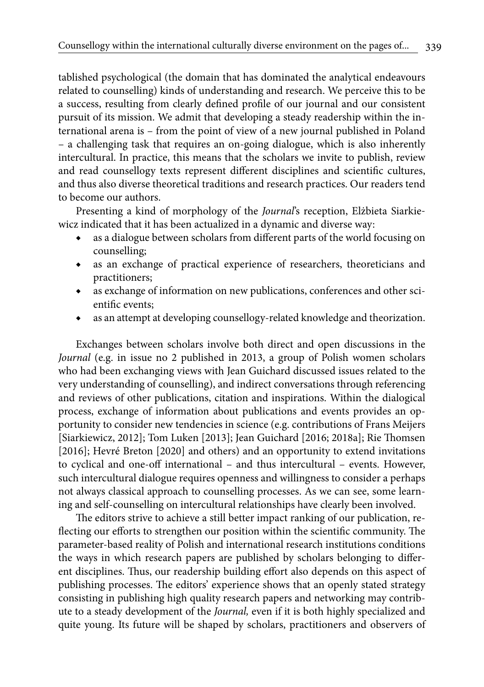tablished psychological (the domain that has dominated the analytical endeavours related to counselling) kinds of understanding and research. We perceive this to be a success, resulting from clearly defined profile of our journal and our consistent pursuit of its mission. We admit that developing a steady readership within the international arena is – from the point of view of a new journal published in Poland – a challenging task that requires an on-going dialogue, which is also inherently intercultural. In practice, this means that the scholars we invite to publish, review and read counsellogy texts represent different disciplines and scientific cultures, and thus also diverse theoretical traditions and research practices. Our readers tend to become our authors.

Presenting a kind of morphology of the *Journal*'s reception, Elżbieta Siarkiewicz indicated that it has been actualized in a dynamic and diverse way:

- ◆ as a dialogue between scholars from different parts of the world focusing on counselling;
- as an exchange of practical experience of researchers, theoreticians and practitioners;
- ◆ as exchange of information on new publications, conferences and other scientific events;
- as an attempt at developing counsellogy-related knowledge and theorization.

Exchanges between scholars involve both direct and open discussions in the *Journal* (e.g. in issue no 2 published in 2013, a group of Polish women scholars who had been exchanging views with Jean Guichard discussed issues related to the very understanding of counselling), and indirect conversations through referencing and reviews of other publications, citation and inspirations. Within the dialogical process, exchange of information about publications and events provides an opportunity to consider new tendencies in science (e.g. contributions of Frans Meijers [Siarkiewicz, 2012]; Tom Luken [2013]; Jean Guichard [2016; 2018a]; Rie Thomsen [2016]; Hevré Breton [2020] and others) and an opportunity to extend invitations to cyclical and one-off international – and thus intercultural – events. However, such intercultural dialogue requires openness and willingness to consider a perhaps not always classical approach to counselling processes. As we can see, some learning and self-counselling on intercultural relationships have clearly been involved.

The editors strive to achieve a still better impact ranking of our publication, reflecting our efforts to strengthen our position within the scientific community. The parameter-based reality of Polish and international research institutions conditions the ways in which research papers are published by scholars belonging to different disciplines. Thus, our readership building effort also depends on this aspect of publishing processes. The editors' experience shows that an openly stated strategy consisting in publishing high quality research papers and networking may contribute to a steady development of the *Journal,* even if it is both highly specialized and quite young. Its future will be shaped by scholars, practitioners and observers of